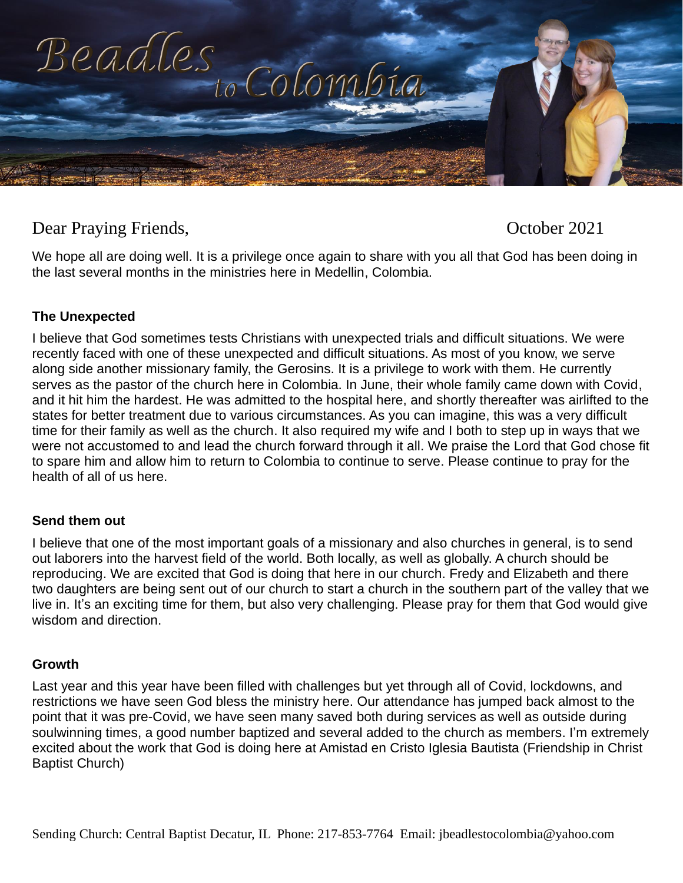

# Dear Praying Friends, October 2021

We hope all are doing well. It is a privilege once again to share with you all that God has been doing in the last several months in the ministries here in Medellin, Colombia.

### **The Unexpected**

I believe that God sometimes tests Christians with unexpected trials and difficult situations. We were recently faced with one of these unexpected and difficult situations. As most of you know, we serve along side another missionary family, the Gerosins. It is a privilege to work with them. He currently serves as the pastor of the church here in Colombia. In June, their whole family came down with Covid, and it hit him the hardest. He was admitted to the hospital here, and shortly thereafter was airlifted to the states for better treatment due to various circumstances. As you can imagine, this was a very difficult time for their family as well as the church. It also required my wife and I both to step up in ways that we were not accustomed to and lead the church forward through it all. We praise the Lord that God chose fit to spare him and allow him to return to Colombia to continue to serve. Please continue to pray for the health of all of us here.

### **Send them out**

I believe that one of the most important goals of a missionary and also churches in general, is to send out laborers into the harvest field of the world. Both locally, as well as globally. A church should be reproducing. We are excited that God is doing that here in our church. Fredy and Elizabeth and there two daughters are being sent out of our church to start a church in the southern part of the valley that we live in. It's an exciting time for them, but also very challenging. Please pray for them that God would give wisdom and direction.

#### **Growth**

Last year and this year have been filled with challenges but yet through all of Covid, lockdowns, and restrictions we have seen God bless the ministry here. Our attendance has jumped back almost to the point that it was pre-Covid, we have seen many saved both during services as well as outside during soulwinning times, a good number baptized and several added to the church as members. I'm extremely excited about the work that God is doing here at Amistad en Cristo Iglesia Bautista (Friendship in Christ Baptist Church)